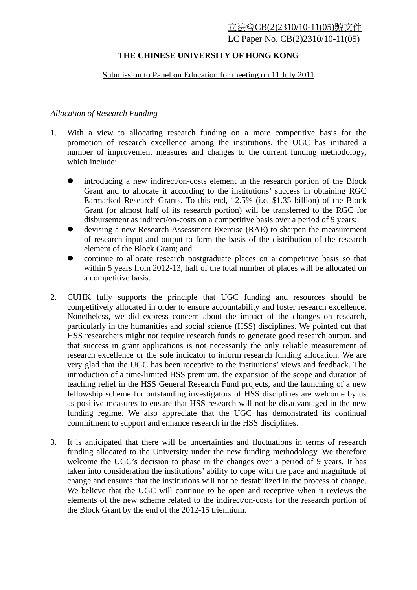## **THE CHINESE UNIVERSITY OF HONG KONG**

## Submission to Panel on Education for meeting on 11 July 2011

## *Allocation of Research Funding*

- 1. With a view to allocating research funding on a more competitive basis for the promotion of research excellence among the institutions, the UGC has initiated a number of improvement measures and changes to the current funding methodology, which include:
	- introducing a new indirect/on-costs element in the research portion of the Block Grant and to allocate it according to the institutions' success in obtaining RGC Earmarked Research Grants. To this end, 12.5% (i.e. \$1.35 billion) of the Block Grant (or almost half of its research portion) will be transferred to the RGC for disbursement as indirect/on-costs on a competitive basis over a period of 9 years;
	- devising a new Research Assessment Exercise (RAE) to sharpen the measurement of research input and output to form the basis of the distribution of the research element of the Block Grant; and
	- continue to allocate research postgraduate places on a competitive basis so that within 5 years from 2012-13, half of the total number of places will be allocated on a competitive basis.
- 2. CUHK fully supports the principle that UGC funding and resources should be competitively allocated in order to ensure accountability and foster research excellence. Nonetheless, we did express concern about the impact of the changes on research, particularly in the humanities and social science (HSS) disciplines. We pointed out that HSS researchers might not require research funds to generate good research output, and that success in grant applications is not necessarily the only reliable measurement of research excellence or the sole indicator to inform research funding allocation. We are very glad that the UGC has been receptive to the institutions' views and feedback. The introduction of a time-limited HSS premium, the expansion of the scope and duration of teaching relief in the HSS General Research Fund projects, and the launching of a new fellowship scheme for outstanding investigators of HSS disciplines are welcome by us as positive measures to ensure that HSS research will not be disadvantaged in the new funding regime. We also appreciate that the UGC has demonstrated its continual commitment to support and enhance research in the HSS disciplines.
- 3. It is anticipated that there will be uncertainties and fluctuations in terms of research funding allocated to the University under the new funding methodology. We therefore welcome the UGC's decision to phase in the changes over a period of 9 years. It has taken into consideration the institutions' ability to cope with the pace and magnitude of change and ensures that the institutions will not be destabilized in the process of change. We believe that the UGC will continue to be open and receptive when it reviews the elements of the new scheme related to the indirect/on-costs for the research portion of the Block Grant by the end of the 2012-15 triennium.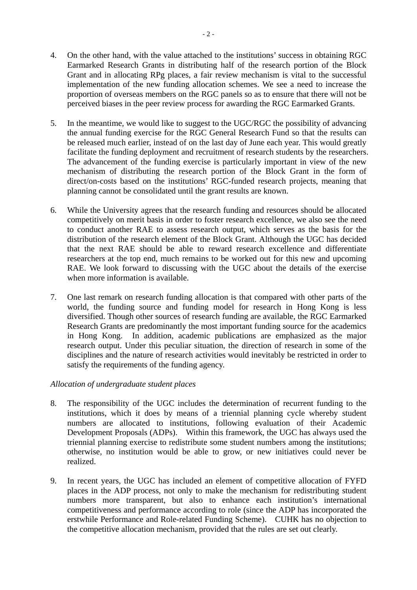- 4. On the other hand, with the value attached to the institutions' success in obtaining RGC Earmarked Research Grants in distributing half of the research portion of the Block Grant and in allocating RPg places, a fair review mechanism is vital to the successful implementation of the new funding allocation schemes. We see a need to increase the proportion of overseas members on the RGC panels so as to ensure that there will not be perceived biases in the peer review process for awarding the RGC Earmarked Grants.
- 5. In the meantime, we would like to suggest to the UGC/RGC the possibility of advancing the annual funding exercise for the RGC General Research Fund so that the results can be released much earlier, instead of on the last day of June each year. This would greatly facilitate the funding deployment and recruitment of research students by the researchers. The advancement of the funding exercise is particularly important in view of the new mechanism of distributing the research portion of the Block Grant in the form of direct/on-costs based on the institutions' RGC-funded research projects, meaning that planning cannot be consolidated until the grant results are known.
- 6. While the University agrees that the research funding and resources should be allocated competitively on merit basis in order to foster research excellence, we also see the need to conduct another RAE to assess research output, which serves as the basis for the distribution of the research element of the Block Grant. Although the UGC has decided that the next RAE should be able to reward research excellence and differentiate researchers at the top end, much remains to be worked out for this new and upcoming RAE. We look forward to discussing with the UGC about the details of the exercise when more information is available.
- 7. One last remark on research funding allocation is that compared with other parts of the world, the funding source and funding model for research in Hong Kong is less diversified. Though other sources of research funding are available, the RGC Earmarked Research Grants are predominantly the most important funding source for the academics in Hong Kong. In addition, academic publications are emphasized as the major research output. Under this peculiar situation, the direction of research in some of the disciplines and the nature of research activities would inevitably be restricted in order to satisfy the requirements of the funding agency.

## *Allocation of undergraduate student places*

- 8. The responsibility of the UGC includes the determination of recurrent funding to the institutions, which it does by means of a triennial planning cycle whereby student numbers are allocated to institutions, following evaluation of their Academic Development Proposals (ADPs). Within this framework, the UGC has always used the triennial planning exercise to redistribute some student numbers among the institutions; otherwise, no institution would be able to grow, or new initiatives could never be realized.
- 9. In recent years, the UGC has included an element of competitive allocation of FYFD places in the ADP process, not only to make the mechanism for redistributing student numbers more transparent, but also to enhance each institution's international competitiveness and performance according to role (since the ADP has incorporated the erstwhile Performance and Role-related Funding Scheme). CUHK has no objection to the competitive allocation mechanism, provided that the rules are set out clearly.